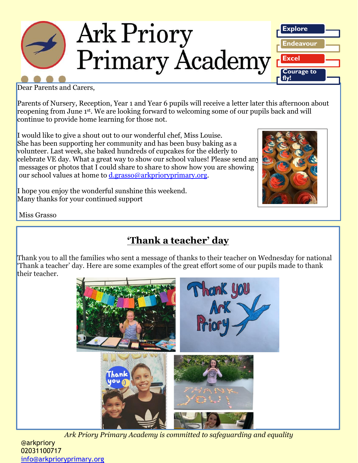

Dear Parents and Carers,

Parents of Nursery, Reception, Year 1 and Year 6 pupils will receive a letter later this afternoon about reopening from June 1st . We are looking forward to welcoming some of our pupils back and will continue to provide home learning for those not.

I would like to give a shout out to our wonderful chef, Miss Louise. She has been supporting her community and has been busy baking as a volunteer. Last week, she baked hundreds of cupcakes for the elderly to celebrate VE day. What a great way to show our school values! Please send any messages or photos that I could share to share to show how you are showing our school values at home to [d.grasso@arkprioryprimary.org.](mailto:d.grasso@arkprioryprimary.org)





Miss Grasso

## **'Thank a teacher' day**

Thank you to all the families who sent a message of thanks to their teacher on Wednesday for national 'Thank a teacher' day. Here are some examples of the great effort some of our pupils made to thank their teacher.



*Ark Priory Primary Academy is committed to safeguarding and equality* 

@arkpriory 02031100717 [info@arkprioryprimary.org](mailto:info@arkprioryprimary.org)